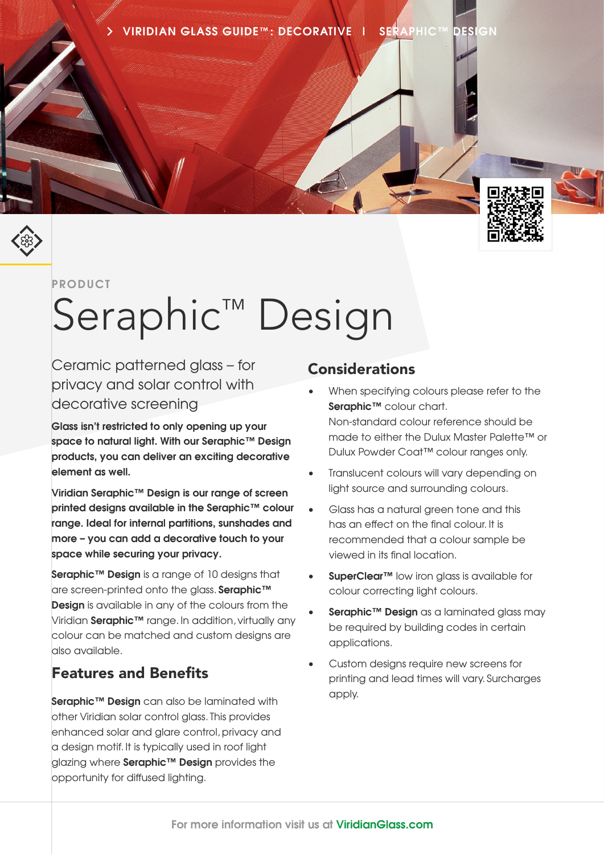**VIRIDIAN GLASS GUIDE™ : DECORATIVE | SERAPHIC™ DESIGN**



**PRODUCT**

# Seraphic<sup>™</sup> Design

Ceramic patterned glass – for privacy and solar control with decorative screening

**Glass isn't restricted to only opening up your space to natural light. With our Seraphic™ Design products, you can deliver an exciting decorative element as well.**

**Viridian Seraphic™ Design is our range of screen printed designs available in the Seraphic™ colour range. Ideal for internal partitions, sunshades and more – you can add a decorative touch to your space while securing your privacy.**

**Seraphic™ Design** is a range of 10 designs that are screen-printed onto the glass. **Seraphic™ Design** is available in any of the colours from the Viridian **Seraphic™** range. In addition, virtually any colour can be matched and custom designs are also available.

#### Features and Benefits

**Seraphic™ Design** can also be laminated with other Viridian solar control glass. This provides enhanced solar and glare control, privacy and a design motif. It is typically used in roof light glazing where **Seraphic™ Design** provides the opportunity for diffused lighting.

#### **Considerations**

- When specifying colours please refer to the **Seraphic™** colour chart. Non-standard colour reference should be made to either the Dulux Master Palette™ or Dulux Powder Coat™ colour ranges only.
- Translucent colours will vary depending on light source and surrounding colours.
- Glass has a natural green tone and this has an effect on the final colour. It is recommended that a colour sample be viewed in its final location.
- **SuperClear™** low iron glass is available for colour correcting light colours.
- **Seraphic™ Design** as a laminated glass may be required by building codes in certain applications.
- Custom designs require new screens for printing and lead times will vary. Surcharges apply.